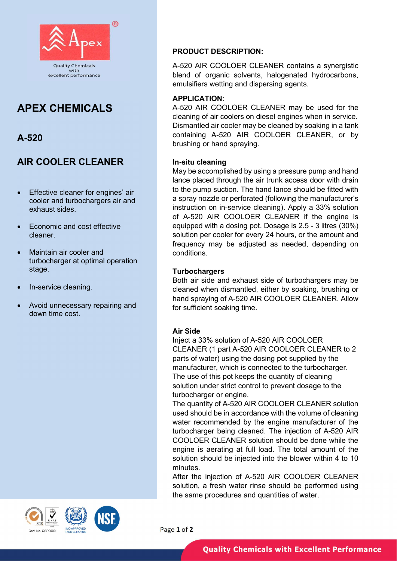

# APEX CHEMICALS

# A-520

# AIR COOLER CLEANER

- Effective cleaner for engines' air cooler and turbochargers air and exhaust sides.
- Economic and cost effective cleaner.
- Maintain air cooler and turbocharger at optimal operation stage.
- In-service cleaning.
- Avoid unnecessary repairing and down time cost.

### PRODUCT DESCRIPTION:

A-520 AIR COOLOER CLEANER contains a synergistic blend of organic solvents, halogenated hydrocarbons, emulsifiers wetting and dispersing agents.

### APPLICATION:

A-520 AIR COOLOER CLEANER may be used for the cleaning of air coolers on diesel engines when in service. Dismantled air cooler may be cleaned by soaking in a tank containing A-520 AIR COOLOER CLEANER, or by brushing or hand spraying.

### In-situ cleaning

May be accomplished by using a pressure pump and hand lance placed through the air trunk access door with drain to the pump suction. The hand lance should be fitted with a spray nozzle or perforated (following the manufacturer's instruction on in-service cleaning). Apply a 33% solution of A-520 AIR COOLOER CLEANER if the engine is equipped with a dosing pot. Dosage is 2.5 - 3 litres (30%) solution per cooler for every 24 hours, or the amount and frequency may be adjusted as needed, depending on conditions.

#### **Turbochargers**

Both air side and exhaust side of turbochargers may be cleaned when dismantled, either by soaking, brushing or hand spraying of A-520 AIR COOLOER CLEANER. Allow for sufficient soaking time.

## Air Side

Inject a 33% solution of A-520 AIR COOLOER CLEANER (1 part A-520 AIR COOLOER CLEANER to 2 parts of water) using the dosing pot supplied by the manufacturer, which is connected to the turbocharger. The use of this pot keeps the quantity of cleaning solution under strict control to prevent dosage to the turbocharger or engine.

The quantity of A-520 AIR COOLOER CLEANER solution used should be in accordance with the volume of cleaning water recommended by the engine manufacturer of the turbocharger being cleaned. The injection of A-520 AIR COOLOER CLEANER solution should be done while the engine is aerating at full load. The total amount of the solution should be injected into the blower within 4 to 10 minutes.

After the injection of A-520 AIR COOLOER CLEANER solution, a fresh water rinse should be performed using the same procedures and quantities of water.